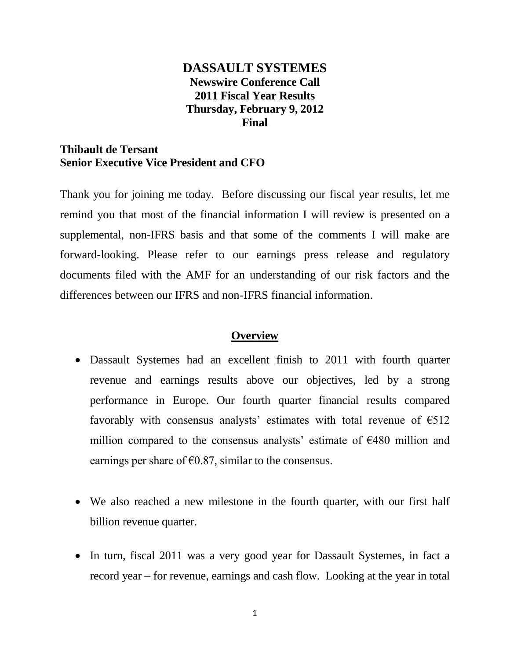# **DASSAULT SYSTEMES Newswire Conference Call 2011 Fiscal Year Results Thursday, February 9, 2012 Final**

## **Thibault de Tersant Senior Executive Vice President and CFO**

Thank you for joining me today. Before discussing our fiscal year results, let me remind you that most of the financial information I will review is presented on a supplemental, non-IFRS basis and that some of the comments I will make are forward-looking. Please refer to our earnings press release and regulatory documents filed with the AMF for an understanding of our risk factors and the differences between our IFRS and non-IFRS financial information.

## **Overview**

- Dassault Systemes had an excellent finish to 2011 with fourth quarter revenue and earnings results above our objectives, led by a strong performance in Europe. Our fourth quarter financial results compared favorably with consensus analysts' estimates with total revenue of  $\epsilon$ 512 million compared to the consensus analysts' estimate of  $E480$  million and earnings per share of  $\epsilon$ 0.87, similar to the consensus.
- We also reached a new milestone in the fourth quarter, with our first half billion revenue quarter.
- In turn, fiscal 2011 was a very good year for Dassault Systemes, in fact a record year – for revenue, earnings and cash flow. Looking at the year in total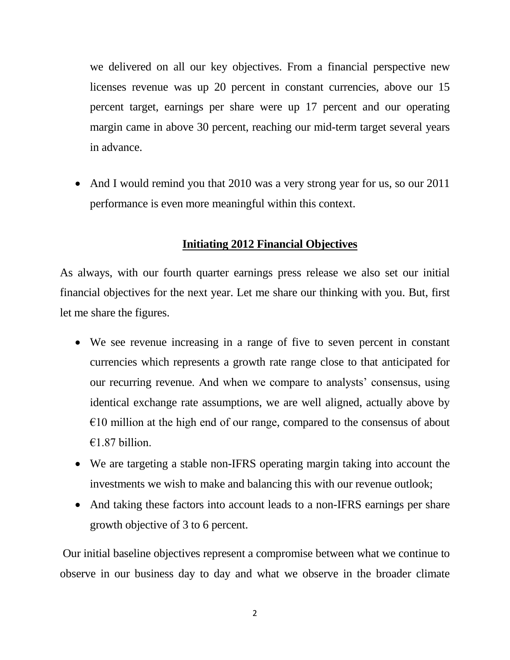we delivered on all our key objectives. From a financial perspective new licenses revenue was up 20 percent in constant currencies, above our 15 percent target, earnings per share were up 17 percent and our operating margin came in above 30 percent, reaching our mid-term target several years in advance.

• And I would remind you that 2010 was a very strong year for us, so our 2011 performance is even more meaningful within this context.

## **Initiating 2012 Financial Objectives**

As always, with our fourth quarter earnings press release we also set our initial financial objectives for the next year. Let me share our thinking with you. But, first let me share the figures.

- We see revenue increasing in a range of five to seven percent in constant currencies which represents a growth rate range close to that anticipated for our recurring revenue. And when we compare to analysts' consensus, using identical exchange rate assumptions, we are well aligned, actually above by  $\epsilon$ 10 million at the high end of our range, compared to the consensus of about  $€1.87$  billion
- We are targeting a stable non-IFRS operating margin taking into account the investments we wish to make and balancing this with our revenue outlook;
- And taking these factors into account leads to a non-IFRS earnings per share growth objective of 3 to 6 percent.

Our initial baseline objectives represent a compromise between what we continue to observe in our business day to day and what we observe in the broader climate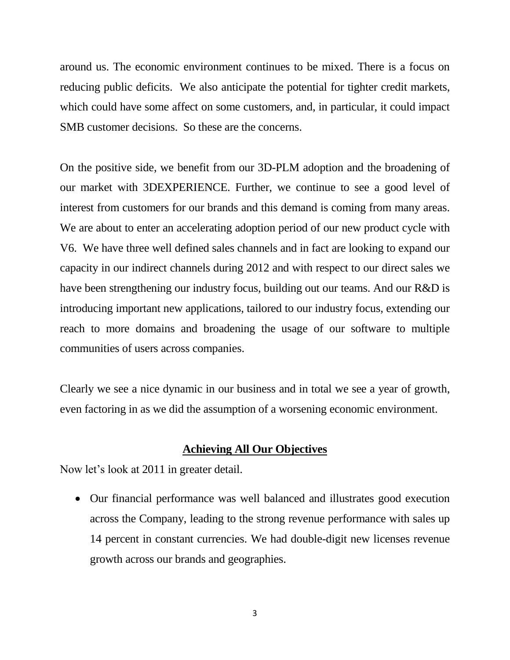around us. The economic environment continues to be mixed. There is a focus on reducing public deficits. We also anticipate the potential for tighter credit markets, which could have some affect on some customers, and, in particular, it could impact SMB customer decisions. So these are the concerns.

On the positive side, we benefit from our 3D-PLM adoption and the broadening of our market with 3DEXPERIENCE. Further, we continue to see a good level of interest from customers for our brands and this demand is coming from many areas. We are about to enter an accelerating adoption period of our new product cycle with V6. We have three well defined sales channels and in fact are looking to expand our capacity in our indirect channels during 2012 and with respect to our direct sales we have been strengthening our industry focus, building out our teams. And our R&D is introducing important new applications, tailored to our industry focus, extending our reach to more domains and broadening the usage of our software to multiple communities of users across companies.

Clearly we see a nice dynamic in our business and in total we see a year of growth, even factoring in as we did the assumption of a worsening economic environment.

#### **Achieving All Our Objectives**

Now let's look at 2011 in greater detail.

 Our financial performance was well balanced and illustrates good execution across the Company, leading to the strong revenue performance with sales up 14 percent in constant currencies. We had double-digit new licenses revenue growth across our brands and geographies.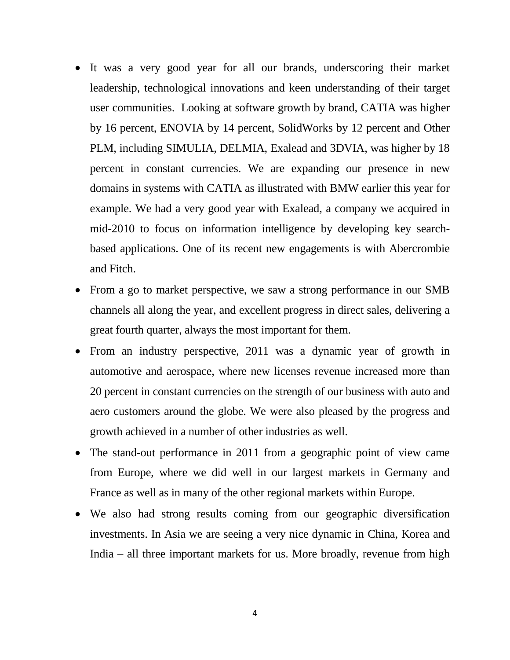- It was a very good year for all our brands, underscoring their market leadership, technological innovations and keen understanding of their target user communities. Looking at software growth by brand, CATIA was higher by 16 percent, ENOVIA by 14 percent, SolidWorks by 12 percent and Other PLM, including SIMULIA, DELMIA, Exalead and 3DVIA, was higher by 18 percent in constant currencies. We are expanding our presence in new domains in systems with CATIA as illustrated with BMW earlier this year for example. We had a very good year with Exalead, a company we acquired in mid-2010 to focus on information intelligence by developing key searchbased applications. One of its recent new engagements is with Abercrombie and Fitch.
- From a go to market perspective, we saw a strong performance in our SMB channels all along the year, and excellent progress in direct sales, delivering a great fourth quarter, always the most important for them.
- From an industry perspective, 2011 was a dynamic year of growth in automotive and aerospace, where new licenses revenue increased more than 20 percent in constant currencies on the strength of our business with auto and aero customers around the globe. We were also pleased by the progress and growth achieved in a number of other industries as well.
- The stand-out performance in 2011 from a geographic point of view came from Europe, where we did well in our largest markets in Germany and France as well as in many of the other regional markets within Europe.
- We also had strong results coming from our geographic diversification investments. In Asia we are seeing a very nice dynamic in China, Korea and India – all three important markets for us. More broadly, revenue from high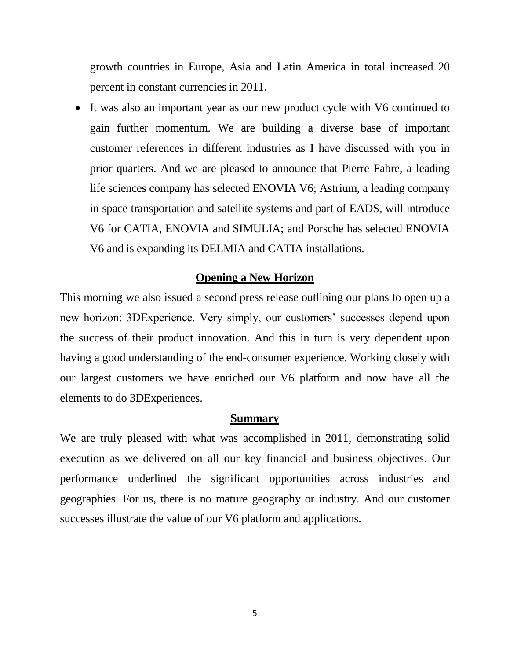growth countries in Europe, Asia and Latin America in total increased 20 percent in constant currencies in 2011.

 It was also an important year as our new product cycle with V6 continued to gain further momentum. We are building a diverse base of important customer references in different industries as I have discussed with you in prior quarters. And we are pleased to announce that Pierre Fabre, a leading life sciences company has selected ENOVIA V6; Astrium, a leading company in space transportation and satellite systems and part of EADS, will introduce V6 for CATIA, ENOVIA and SIMULIA; and Porsche has selected ENOVIA V6 and is expanding its DELMIA and CATIA installations.

#### **Opening a New Horizon**

This morning we also issued a second press release outlining our plans to open up a new horizon: 3DExperience. Very simply, our customers' successes depend upon the success of their product innovation. And this in turn is very dependent upon having a good understanding of the end-consumer experience. Working closely with our largest customers we have enriched our V6 platform and now have all the elements to do 3DExperiences.

#### **Summary**

We are truly pleased with what was accomplished in 2011, demonstrating solid execution as we delivered on all our key financial and business objectives. Our performance underlined the significant opportunities across industries and geographies. For us, there is no mature geography or industry. And our customer successes illustrate the value of our V6 platform and applications.